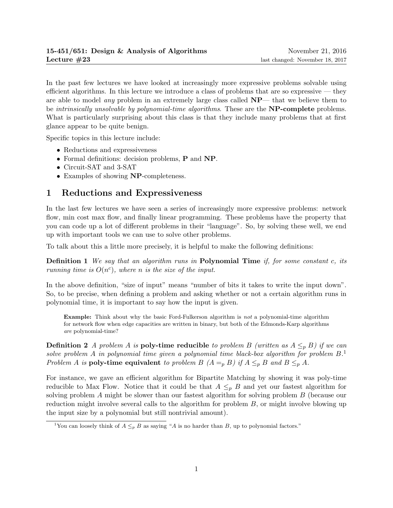In the past few lectures we have looked at increasingly more expressive problems solvable using efficient algorithms. In this lecture we introduce a class of problems that are so expressive — they are able to model any problem in an extremely large class called NP— that we believe them to be *intrinsically unsolvable by polynomial-time algorithms*. These are the **NP-complete** problems. What is particularly surprising about this class is that they include many problems that at first glance appear to be quite benign.

Specific topics in this lecture include:

- Reductions and expressiveness
- Formal definitions: decision problems, P and NP.
- Circuit-SAT and 3-SAT
- Examples of showing NP-completeness.

# 1 Reductions and Expressiveness

In the last few lectures we have seen a series of increasingly more expressive problems: network flow, min cost max flow, and finally linear programming. These problems have the property that you can code up a lot of different problems in their "language". So, by solving these well, we end up with important tools we can use to solve other problems.

To talk about this a little more precisely, it is helpful to make the following definitions:

**Definition 1** We say that an algorithm runs in **Polynomial Time** if, for some constant c, its running time is  $O(n^c)$ , where n is the size of the input.

In the above definition, "size of input" means "number of bits it takes to write the input down". So, to be precise, when defining a problem and asking whether or not a certain algorithm runs in polynomial time, it is important to say how the input is given.

Example: Think about why the basic Ford-Fulkerson algorithm is not a polynomial-time algorithm for network flow when edge capacities are written in binary, but both of the Edmonds-Karp algorithms are polynomial-time?

**Definition 2** A problem A is **poly-time reducible** to problem B (written as  $A \leq_{p} B$ ) if we can solve problem A in polynomial time given a polynomial time black-box algorithm for problem  $B$ . Problem A is **poly-time equivalent** to problem B  $(A =_p B)$  if  $A \leq_p B$  and  $B \leq_p A$ .

For instance, we gave an efficient algorithm for Bipartite Matching by showing it was poly-time reducible to Max Flow. Notice that it could be that  $A \leq_{p} B$  and yet our fastest algorithm for solving problem A might be slower than our fastest algorithm for solving problem B (because our reduction might involve several calls to the algorithm for problem  $B$ , or might involve blowing up the input size by a polynomial but still nontrivial amount).

<sup>&</sup>lt;sup>1</sup>You can loosely think of  $A \leq_{p} B$  as saying "A is no harder than B, up to polynomial factors."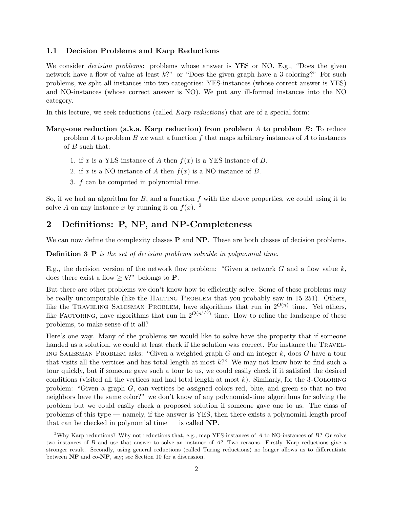#### 1.1 Decision Problems and Karp Reductions

We consider *decision problems*: problems whose answer is YES or NO. E.g., "Does the given network have a flow of value at least  $k$ ?" or "Does the given graph have a 3-coloring?" For such problems, we split all instances into two categories: YES-instances (whose correct answer is YES) and NO-instances (whose correct answer is NO). We put any ill-formed instances into the NO category.

In this lecture, we seek reductions (called *Karp reductions*) that are of a special form:

- Many-one reduction (a.k.a. Karp reduction) from problem A to problem  $B$ : To reduce problem  $A$  to problem  $B$  we want a function  $f$  that maps arbitrary instances of  $A$  to instances of B such that:
	- 1. if x is a YES-instance of A then  $f(x)$  is a YES-instance of B.
	- 2. if x is a NO-instance of A then  $f(x)$  is a NO-instance of B.
	- 3. f can be computed in polynomial time.

So, if we had an algorithm for  $B$ , and a function f with the above properties, we could using it to solve A on any instance x by running it on  $f(x)$ . <sup>2</sup>

# 2 Definitions: P, NP, and NP-Completeness

We can now define the complexity classes  $P$  and  $NP$ . These are both classes of decision problems.

**Definition 3 P** is the set of decision problems solvable in polynomial time.

E.g., the decision version of the network flow problem: "Given a network  $G$  and a flow value  $k$ , does there exist a flow  $\geq k$ ?" belongs to **P**.

But there are other problems we don't know how to efficiently solve. Some of these problems may be really uncomputable (like the HALTING PROBLEM that you probably saw in 15-251). Others, like the TRAVELING SALESMAN PROBLEM, have algorithms that run in  $2^{O(n)}$  time. Yet others, like FACTORING, have algorithms that run in  $2^{O(n^{1/3})}$  time. How to refine the landscape of these problems, to make sense of it all?

Here's one way. Many of the problems we would like to solve have the property that if someone handed us a solution, we could at least check if the solution was correct. For instance the TRAVEL-ING SALESMAN PROBLEM asks: "Given a weighted graph  $G$  and an integer  $k$ , does  $G$  have a tour that visits all the vertices and has total length at most k?" We may not know how to find such a tour quickly, but if someone gave such a tour to us, we could easily check if it satisfied the desired conditions (visited all the vertices and had total length at most  $k$ ). Similarly, for the 3-COLORING problem: "Given a graph  $G$ , can vertices be assigned colors red, blue, and green so that no two neighbors have the same color?" we don't know of any polynomial-time algorithms for solving the problem but we could easily check a proposed solution if someone gave one to us. The class of problems of this type — namely, if the answer is YES, then there exists a polynomial-length proof that can be checked in polynomial time — is called  $NP$ .

<sup>&</sup>lt;sup>2</sup>Why Karp reductions? Why not reductions that, e.g., map YES-instances of A to NO-instances of B? Or solve two instances of B and use that answer to solve an instance of A? Two reasons. Firstly, Karp reductions give a stronger result. Secondly, using general reductions (called Turing reductions) no longer allows us to differentiate between NP and co-NP, say; see Section 10 for a discussion.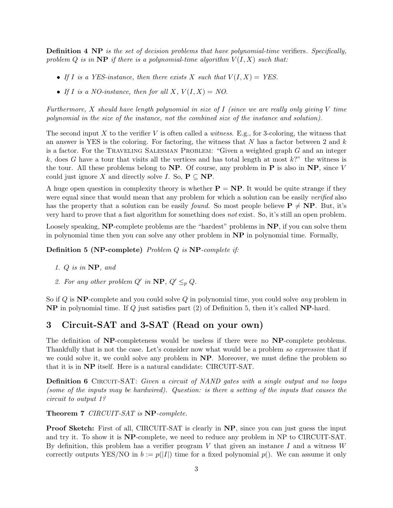**Definition 4 NP** is the set of decision problems that have polynomial-time verifiers. Specifically, problem Q is in  $\mathbf{NP}$  if there is a polynomial-time algorithm  $V(I, X)$  such that:

- If I is a YES-instance, then there exists X such that  $V(I, X) = YES$ .
- If I is a NO-instance, then for all X,  $V(I, X) = NO$ .

Furthermore, X should have length polynomial in size of  $I$  (since we are really only giving  $V$  time polynomial in the size of the instance, not the combined size of the instance and solution).

The second input X to the verifier V is often called a *witness*. E.g., for 3-coloring, the witness that an answer is YES is the coloring. For factoring, the witness that N has a factor between 2 and  $k$ is a factor. For the TRAVELING SALESMAN PROBLEM: "Given a weighted graph  $G$  and an integer k, does G have a tour that visits all the vertices and has total length at most  $k$ ?" the witness is the tour. All these problems belong to  $NP$ . Of course, any problem in P is also in  $NP$ , since V could just ignore X and directly solve I. So,  $P \subseteq NP$ .

A huge open question in complexity theory is whether  $P = NP$ . It would be quite strange if they were equal since that would mean that any problem for which a solution can be easily *verified* also has the property that a solution can be easily *found*. So most people believe  $P \neq NP$ . But, it's very hard to prove that a fast algorithm for something does not exist. So, it's still an open problem.

Loosely speaking, **NP**-complete problems are the "hardest" problems in **NP**, if you can solve them in polynomial time then you can solve any other problem in NP in polynomial time. Formally,

Definition 5 (NP-complete) Problem Q is NP-complete if:

- 1. Q is in NP, and
- 2. For any other problem  $Q'$  in  $\mathbf{NP}, Q' \leq_p Q$ .

So if  $Q$  is NP-complete and you could solve  $Q$  in polynomial time, you could solve any problem in NP in polynomial time. If Q just satisfies part (2) of Definition 5, then it's called NP-hard.

### 3 Circuit-SAT and 3-SAT (Read on your own)

The definition of NP-completeness would be useless if there were no NP-complete problems. Thankfully that is not the case. Let's consider now what would be a problem so expressive that if we could solve it, we could solve any problem in  $\bf NP$ . Moreover, we must define the problem so that it is in NP itself. Here is a natural candidate: CIRCUIT-SAT.

**Definition 6** CIRCUIT-SAT: Given a circuit of NAND gates with a single output and no loops (some of the inputs may be hardwired). Question: is there a setting of the inputs that causes the circuit to output 1?

Theorem 7 CIRCUIT-SAT is NP-complete.

**Proof Sketch:** First of all, CIRCUIT-SAT is clearly in NP, since you can just guess the input and try it. To show it is NP-complete, we need to reduce any problem in NP to CIRCUIT-SAT. By definition, this problem has a verifier program V that given an instance I and a witness  $W$ correctly outputs YES/NO in  $b := p(|I|)$  time for a fixed polynomial  $p()$ . We can assume it only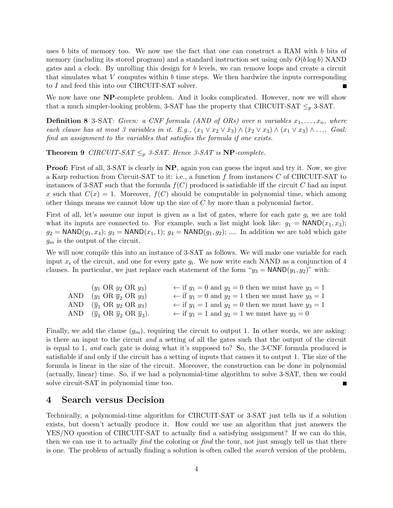uses b bits of memory too. We now use the fact that one can construct a RAM with b bits of memory (including its stored program) and a standard instruction set using only  $O(b \log b)$  NAND gates and a clock. By unrolling this design for b levels, we can remove loops and create a circuit that simulates what  $V$  computes within  $b$  time steps. We then hardwire the inputs corresponding to I and feed this into our CIRCUIT-SAT solver.

We now have one NP-complete problem. And it looks complicated. However, now we will show that a much simpler-looking problem, 3-SAT has the property that CIRCUIT-SAT  $\leq_p$  3-SAT.

**Definition 8** 3-SAT: Given: a CNF formula (AND of ORs) over n variables  $x_1, \ldots, x_n$ , where each clause has at most 3 variables in it. E.g.,  $(x_1 \vee x_2 \vee \overline{x}_3) \wedge (\overline{x}_2 \vee x_3) \wedge (x_1 \vee x_3) \wedge \ldots$  Goal: find an assignment to the variables that satisfies the formula if one exists.

**Theorem 9** CIRCUIT-SAT  $\leq_p$  3-SAT. Hence 3-SAT is NP-complete.

**Proof:** First of all, 3-SAT is clearly in NP, again you can guess the input and try it. Now, we give a Karp reduction from Circuit-SAT to it: i.e., a function f from instances C of CIRCUIT-SAT to instances of 3-SAT such that the formula  $f(C)$  produced is satisfiable iff the circuit C had an input x such that  $C(x) = 1$ . Moreover,  $f(C)$  should be computable in polynomial time, which among other things means we cannot blow up the size of  $C$  by more than a polynomial factor.

First of all, let's assume our input is given as a list of gates, where for each gate  $g_i$  we are told what its inputs are connected to. For example, such a list might look like:  $g_1 = \text{NAND}(x_1, x_3)$ ;  $g_2 = \text{NAND}(g_1, x_4); g_3 = \text{NAND}(x_1, 1); g_4 = \text{NAND}(g_1, g_2); \dots$  In addition we are told which gate  $g_m$  is the output of the circuit.

We will now compile this into an instance of 3-SAT as follows. We will make one variable for each input  $x_i$  of the circuit, and one for every gate  $g_i$ . We now write each NAND as a conjunction of 4 clauses. In particular, we just replace each statement of the form " $y_3 = \text{NAND}(y_1, y_2)$ " with:

| $(y_1 \text{ OR } y_2 \text{ OR } y_3)$                                       | $\leftarrow$ if $y_1 = 0$ and $y_2 = 0$ then we must have $y_3 = 1$ |
|-------------------------------------------------------------------------------|---------------------------------------------------------------------|
| AND $(y_1 \text{ OR } \overline{y}_2 \text{ OR } y_3)$                        | $\leftarrow$ if $y_1 = 0$ and $y_2 = 1$ then we must have $y_3 = 1$ |
| AND $(\overline{y}_1 \text{ OR } y_2 \text{ OR } y_3)$                        | $\leftarrow$ if $y_1 = 1$ and $y_2 = 0$ then we must have $y_3 = 1$ |
| AND $(\overline{y}_1 \text{ OR } \overline{y}_2 \text{ OR } \overline{y}_3).$ | $\leftarrow$ if $y_1 = 1$ and $y_2 = 1$ we must have $y_3 = 0$      |

Finally, we add the clause  $(g_m)$ , requiring the circuit to output 1. In other words, we are asking: is there an input to the circuit and a setting of all the gates such that the output of the circuit is equal to 1, and each gate is doing what it's supposed to? So, the 3-CNF formula produced is satisfiable if and only if the circuit has a setting of inputs that causes it to output 1. The size of the formula is linear in the size of the circuit. Moreover, the construction can be done in polynomial (actually, linear) time. So, if we had a polynomial-time algorithm to solve 3-SAT, then we could solve circuit-SAT in polynomial time too.

#### 4 Search versus Decision

Technically, a polynomial-time algorithm for CIRCUIT-SAT or 3-SAT just tells us if a solution exists, but doesn't actually produce it. How could we use an algorithm that just answers the YES/NO question of CIRCUIT-SAT to actually find a satisfying assignment? If we can do this, then we can use it to actually find the coloring or find the tour, not just smugly tell us that there is one. The problem of actually finding a solution is often called the search version of the problem,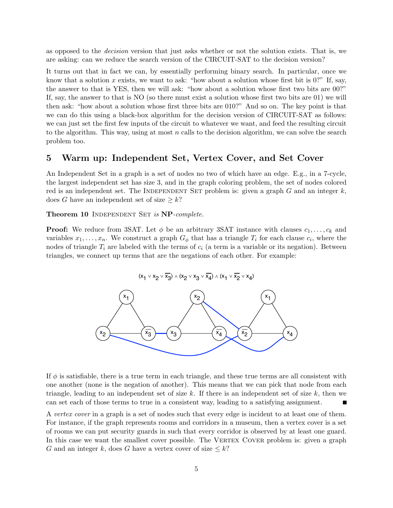as opposed to the decision version that just asks whether or not the solution exists. That is, we are asking: can we reduce the search version of the CIRCUIT-SAT to the decision version?

It turns out that in fact we can, by essentially performing binary search. In particular, once we know that a solution x exists, we want to ask: "how about a solution whose first bit is  $0$ ?" If, say, the answer to that is YES, then we will ask: "how about a solution whose first two bits are 00?" If, say, the answer to that is NO (so there must exist a solution whose first two bits are 01) we will then ask: "how about a solution whose first three bits are 010?" And so on. The key point is that we can do this using a black-box algorithm for the decision version of CIRCUIT-SAT as follows: we can just set the first few inputs of the circuit to whatever we want, and feed the resulting circuit to the algorithm. This way, using at most  $n$  calls to the decision algorithm, we can solve the search problem too.

### 5 Warm up: Independent Set, Vertex Cover, and Set Cover

An Independent Set in a graph is a set of nodes no two of which have an edge. E.g., in a 7-cycle, the largest independent set has size 3, and in the graph coloring problem, the set of nodes colored red is an independent set. The INDEPENDENT SET problem is: given a graph  $G$  and an integer  $k$ , does G have an independent set of size  $\geq k$ ?

Theorem 10 INDEPENDENT SET is NP-complete.

**Proof:** We reduce from 3SAT. Let  $\phi$  be an arbitrary 3SAT instance with clauses  $c_1, \ldots, c_k$  and variables  $x_1, \ldots, x_n$ . We construct a graph  $G_{\phi}$  that has a triangle  $T_i$  for each clause  $c_i$ , where the nodes of triangle  $T_i$  are labeled with the terms of  $c_i$  (a term is a variable or its negation). Between triangles, we connect up terms that are the negations of each other. For example:



If  $\phi$  is satisfiable, there is a true term in each triangle, and these true terms are all consistent with one another (none is the negation of another). This means that we can pick that node from each triangle, leading to an independent set of size k. If there is an independent set of size  $k$ , then we can set each of those terms to true in a consistent way, leading to a satisfying assignment.

A vertex cover in a graph is a set of nodes such that every edge is incident to at least one of them. For instance, if the graph represents rooms and corridors in a museum, then a vertex cover is a set of rooms we can put security guards in such that every corridor is observed by at least one guard. In this case we want the smallest cover possible. The VERTEX COVER problem is: given a graph G and an integer k, does G have a vertex cover of size  $\leq k$ ?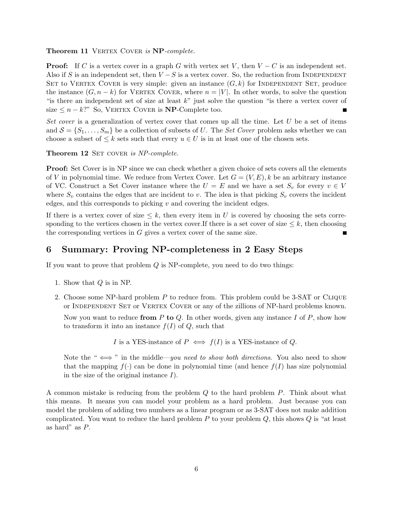Theorem 11 VERTEX COVER is NP-complete.

**Proof:** If C is a vertex cover in a graph G with vertex set V, then  $V - C$  is an independent set. Also if S is an independent set, then  $V-S$  is a vertex cover. So, the reduction from INDEPENDENT SET to VERTEX COVER is very simple: given an instance  $(G, k)$  for INDEPENDENT SET, produce the instance  $(G, n - k)$  for VERTEX COVER, where  $n = |V|$ . In other words, to solve the question "is there an independent set of size at least  $k$ " just solve the question "is there a vertex cover of size  $\leq n - k$ ?" So, VERTEX COVER is **NP**-Complete too.

Set cover is a generalization of vertex cover that comes up all the time. Let  $U$  be a set of items and  $S = \{S_1, \ldots, S_m\}$  be a collection of subsets of U. The Set Cover problem asks whether we can choose a subset of  $\leq k$  sets such that every  $u \in U$  is in at least one of the chosen sets.

Theorem 12 SET COVER is NP-complete.

**Proof:** Set Cover is in NP since we can check whether a given choice of sets covers all the elements of V in polynomial time. We reduce from Vertex Cover. Let  $G = (V, E)$ , k be an arbitrary instance of VC. Construct a Set Cover instance where the  $U = E$  and we have a set  $S_v$  for every  $v \in V$ where  $S_v$  contains the edges that are incident to v. The idea is that picking  $S_v$  covers the incident edges, and this corresponds to picking  $v$  and covering the incident edges.

If there is a vertex cover of size  $\leq k$ , then every item in U is covered by choosing the sets corresponding to the vertices chosen in the vertex cover. If there is a set cover of size  $\leq k$ , then choosing the corresponding vertices in  $G$  gives a vertex cover of the same size.

## 6 Summary: Proving NP-completeness in 2 Easy Steps

If you want to prove that problem  $Q$  is NP-complete, you need to do two things:

- 1. Show that  $Q$  is in NP.
- 2. Choose some NP-hard problem P to reduce from. This problem could be 3-SAT or Clique or Independent Set or Vertex Cover or any of the zillions of NP-hard problems known.

Now you want to reduce from P to Q. In other words, given any instance I of P, show how to transform it into an instance  $f(I)$  of Q, such that

I is a YES-instance of 
$$
P \iff f(I)
$$
 is a YES-instance of Q.

Note the " $\iff$ " in the middle—you need to show both directions. You also need to show that the mapping  $f(\cdot)$  can be done in polynomial time (and hence  $f(I)$  has size polynomial in the size of the original instance  $I$ ).

A common mistake is reducing from the problem Q to the hard problem P. Think about what this means. It means you can model your problem as a hard problem. Just because you can model the problem of adding two numbers as a linear program or as 3-SAT does not make addition complicated. You want to reduce the hard problem  $P$  to your problem  $Q$ , this shows  $Q$  is "at least as hard" as P.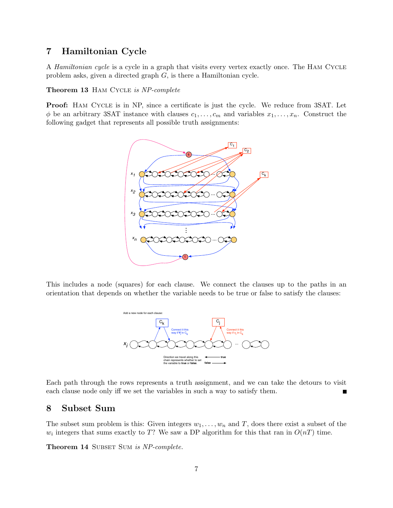# 7 Hamiltonian Cycle

A Hamiltonian cycle is a cycle in a graph that visits every vertex exactly once. The Ham Cycle problem asks, given a directed graph G, is there a Hamiltonian cycle.

Theorem 13 HAM CYCLE is NP-complete

Proof: Ham Cycle is in NP, since a certificate is just the cycle. We reduce from 3SAT. Let  $\phi$  be an arbitrary 3SAT instance with clauses  $c_1, \ldots, c_m$  and variables  $x_1, \ldots, x_n$ . Construct the following gadget that represents all possible truth assignments:



This includes a node (squares) for each clause. We connect the clauses up to the paths in an orientation that depends on whether the variable needs to be true or false to satisfy the clauses:



Each path through the rows represents a truth assignment, and we can take the detours to visit each clause node only iff we set the variables in such a way to satisfy them. П

### 8 Subset Sum

The subset sum problem is this: Given integers  $w_1, \ldots, w_n$  and T, does there exist a subset of the  $w_i$  integers that sums exactly to T? We saw a DP algorithm for this that ran in  $O(nT)$  time.

Theorem 14 SUBSET SUM is NP-complete.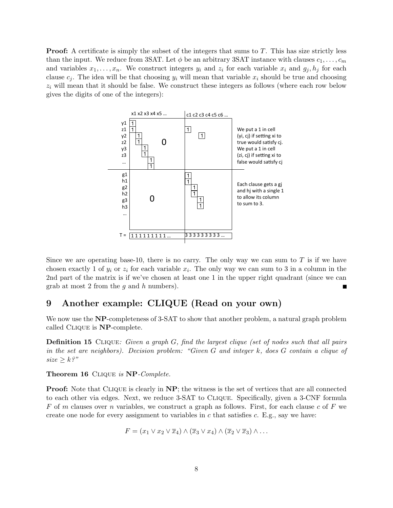**Proof:** A certificate is simply the subset of the integers that sums to  $T$ . This has size strictly less than the input. We reduce from 3SAT. Let  $\phi$  be an arbitrary 3SAT instance with clauses  $c_1, \ldots, c_m$ and variables  $x_1, \ldots, x_n$ . We construct integers  $y_i$  and  $z_i$  for each variable  $x_i$  and  $g_j, h_j$  for each clause  $c_j$ . The idea will be that choosing  $y_i$  will mean that variable  $x_i$  should be true and choosing  $z_i$  will mean that it should be false. We construct these integers as follows (where each row below gives the digits of one of the integers):



Since we are operating base-10, there is no carry. The only way we can sum to  $T$  is if we have chosen exactly 1 of  $y_i$  or  $z_i$  for each variable  $x_i$ . The only way we can sum to 3 in a column in the 2nd part of the matrix is if we've chosen at least one 1 in the upper right quadrant (since we can grab at most 2 from the  $g$  and  $h$  numbers).

# 9 Another example: CLIQUE (Read on your own)

We now use the NP-completeness of 3-SAT to show that another problem, a natural graph problem called Clique is NP-complete.

Definition 15 CLIQUE: Given a graph G, find the largest clique (set of nodes such that all pairs in the set are neighbors). Decision problem: "Given G and integer k, does G contain a clique of  $size \geq k$ ?"

Theorem 16 CLIQUE is NP-Complete.

**Proof:** Note that CLIQUE is clearly in NP; the witness is the set of vertices that are all connected to each other via edges. Next, we reduce 3-SAT to Clique. Specifically, given a 3-CNF formula F of m clauses over n variables, we construct a graph as follows. First, for each clause c of F we create one node for every assignment to variables in  $c$  that satisfies  $c$ . E.g., say we have:

$$
F = (x_1 \vee x_2 \vee \overline{x}_4) \wedge (\overline{x}_3 \vee x_4) \wedge (\overline{x}_2 \vee \overline{x}_3) \wedge \dots
$$